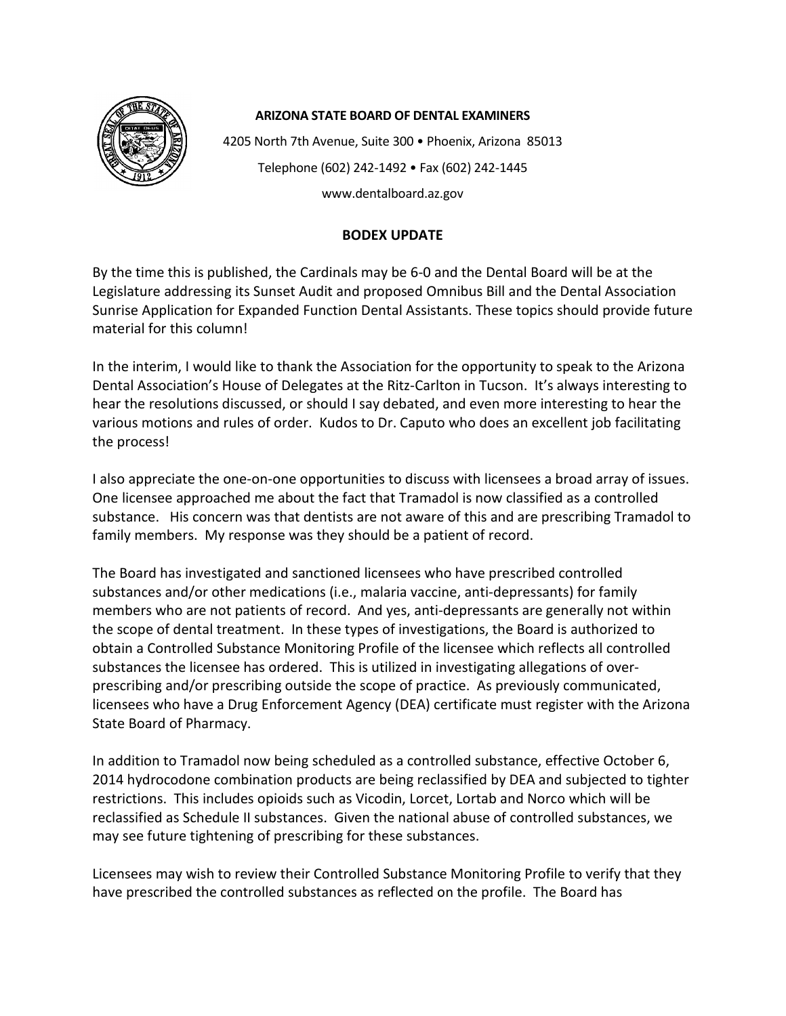

## **ARIZONA STATE BOARD OF DENTAL EXAMINERS**

4205 North 7th Avenue, Suite 300 • Phoenix, Arizona 85013 Telephone (602) 242-1492 • Fax (602) 242-1445 www.dentalboard.az.gov

## **BODEX UPDATE**

By the time this is published, the Cardinals may be 6-0 and the Dental Board will be at the Legislature addressing its Sunset Audit and proposed Omnibus Bill and the Dental Association Sunrise Application for Expanded Function Dental Assistants. These topics should provide future material for this column!

In the interim, I would like to thank the Association for the opportunity to speak to the Arizona Dental Association's House of Delegates at the Ritz-Carlton in Tucson. It's always interesting to hear the resolutions discussed, or should I say debated, and even more interesting to hear the various motions and rules of order. Kudos to Dr. Caputo who does an excellent job facilitating the process!

I also appreciate the one-on-one opportunities to discuss with licensees a broad array of issues. One licensee approached me about the fact that Tramadol is now classified as a controlled substance. His concern was that dentists are not aware of this and are prescribing Tramadol to family members. My response was they should be a patient of record.

The Board has investigated and sanctioned licensees who have prescribed controlled substances and/or other medications (i.e., malaria vaccine, anti-depressants) for family members who are not patients of record. And yes, anti-depressants are generally not within the scope of dental treatment. In these types of investigations, the Board is authorized to obtain a Controlled Substance Monitoring Profile of the licensee which reflects all controlled substances the licensee has ordered. This is utilized in investigating allegations of overprescribing and/or prescribing outside the scope of practice. As previously communicated, licensees who have a Drug Enforcement Agency (DEA) certificate must register with the Arizona State Board of Pharmacy.

In addition to Tramadol now being scheduled as a controlled substance, effective October 6, 2014 hydrocodone combination products are being reclassified by DEA and subjected to tighter restrictions. This includes opioids such as Vicodin, Lorcet, Lortab and Norco which will be reclassified as Schedule II substances. Given the national abuse of controlled substances, we may see future tightening of prescribing for these substances.

Licensees may wish to review their Controlled Substance Monitoring Profile to verify that they have prescribed the controlled substances as reflected on the profile. The Board has